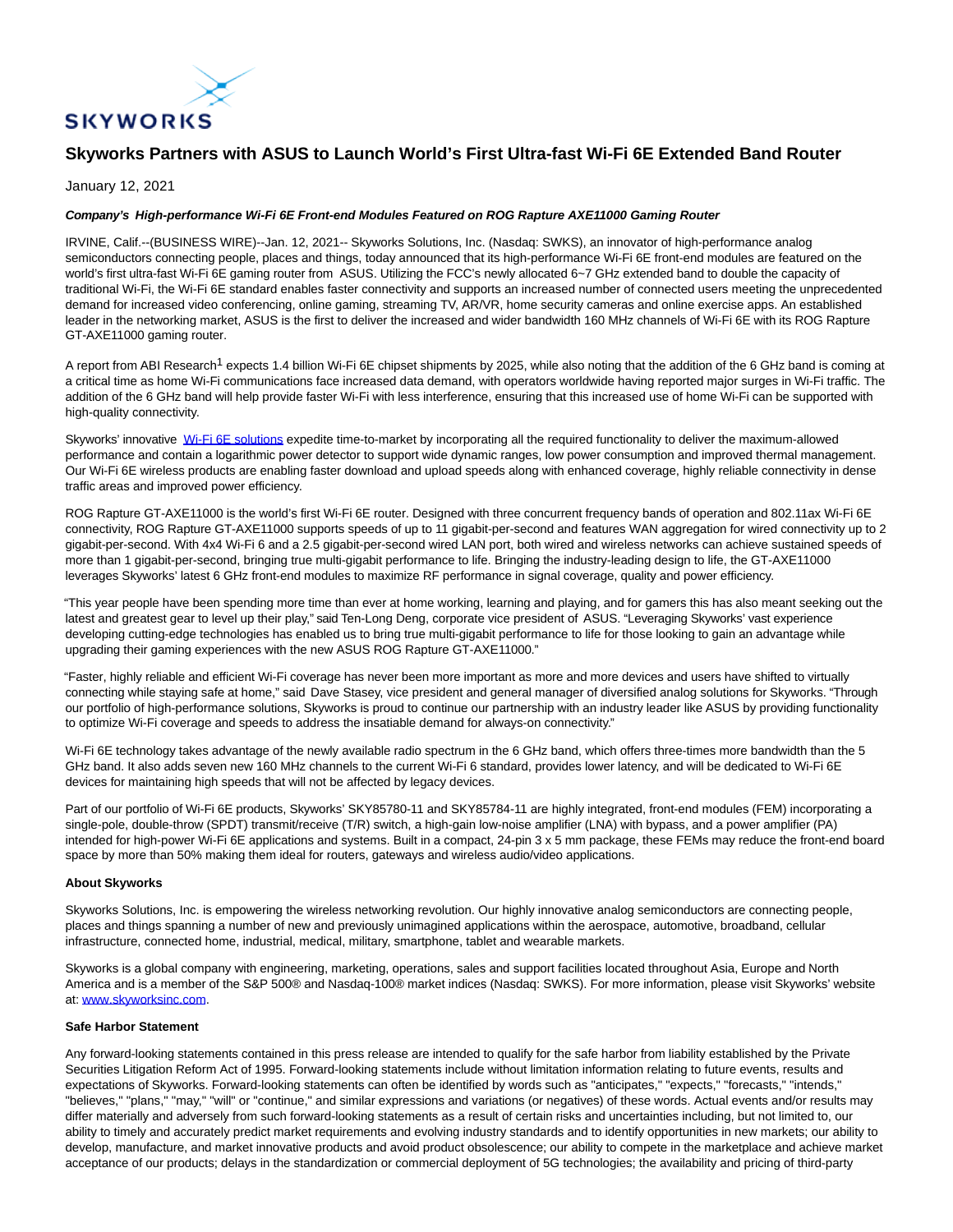

# **Skyworks Partners with ASUS to Launch World's First Ultra-fast Wi-Fi 6E Extended Band Router**

## January 12, 2021

## **Company's High-performance Wi-Fi 6E Front-end Modules Featured on ROG Rapture AXE11000 Gaming Router**

IRVINE, Calif.--(BUSINESS WIRE)--Jan. 12, 2021-- Skyworks Solutions, Inc. (Nasdaq: SWKS), an innovator of high-performance analog semiconductors connecting people, places and things, today announced that its high-performance Wi-Fi 6E front-end modules are featured on the world's first ultra-fast Wi-Fi 6E gaming router from ASUS. Utilizing the FCC's newly allocated 6~7 GHz extended band to double the capacity of traditional Wi-Fi, the Wi-Fi 6E standard enables faster connectivity and supports an increased number of connected users meeting the unprecedented demand for increased video conferencing, online gaming, streaming TV, AR/VR, home security cameras and online exercise apps. An established leader in the networking market, ASUS is the first to deliver the increased and wider bandwidth 160 MHz channels of Wi-Fi 6E with its ROG Rapture GT-AXE11000 gaming router.

A report from ABI Research<sup>1</sup> expects 1.4 billion Wi-Fi 6E chipset shipments by 2025, while also noting that the addition of the 6 GHz band is coming at a critical time as home Wi-Fi communications face increased data demand, with operators worldwide having reported major surges in Wi-Fi traffic. The addition of the 6 GHz band will help provide faster Wi-Fi with less interference, ensuring that this increased use of home Wi-Fi can be supported with high-quality connectivity.

Skyworks' innovative [Wi-Fi 6E solutions e](https://cts.businesswire.com/ct/CT?id=smartlink&url=https%3A%2F%2Fwww.skyworksinc.com%2Fen%2FSystem-Solutions%2FWiFi6&esheet=52360249&newsitemid=20210112005376&lan=en-US&anchor=Wi-Fi+6E+solutions&index=1&md5=fc512a73805422054d6433b7ec55a0c7)xpedite time-to-market by incorporating all the required functionality to deliver the maximum-allowed performance and contain a logarithmic power detector to support wide dynamic ranges, low power consumption and improved thermal management. Our Wi-Fi 6E wireless products are enabling faster download and upload speeds along with enhanced coverage, highly reliable connectivity in dense traffic areas and improved power efficiency.

ROG Rapture GT-AXE11000 is the world's first Wi-Fi 6E router. Designed with three concurrent frequency bands of operation and 802.11ax Wi-Fi 6E connectivity, ROG Rapture GT-AXE11000 supports speeds of up to 11 gigabit-per-second and features WAN aggregation for wired connectivity up to 2 gigabit-per-second. With 4x4 Wi-Fi 6 and a 2.5 gigabit-per-second wired LAN port, both wired and wireless networks can achieve sustained speeds of more than 1 gigabit-per-second, bringing true multi-gigabit performance to life. Bringing the industry-leading design to life, the GT-AXE11000 leverages Skyworks' latest 6 GHz front-end modules to maximize RF performance in signal coverage, quality and power efficiency.

"This year people have been spending more time than ever at home working, learning and playing, and for gamers this has also meant seeking out the latest and greatest gear to level up their play," said Ten-Long Deng, corporate vice president of ASUS. "Leveraging Skyworks' vast experience developing cutting-edge technologies has enabled us to bring true multi-gigabit performance to life for those looking to gain an advantage while upgrading their gaming experiences with the new ASUS ROG Rapture GT-AXE11000."

"Faster, highly reliable and efficient Wi-Fi coverage has never been more important as more and more devices and users have shifted to virtually connecting while staying safe at home," said Dave Stasey, vice president and general manager of diversified analog solutions for Skyworks. "Through our portfolio of high-performance solutions, Skyworks is proud to continue our partnership with an industry leader like ASUS by providing functionality to optimize Wi-Fi coverage and speeds to address the insatiable demand for always-on connectivity."

Wi-Fi 6E technology takes advantage of the newly available radio spectrum in the 6 GHz band, which offers three-times more bandwidth than the 5 GHz band. It also adds seven new 160 MHz channels to the current Wi-Fi 6 standard, provides lower latency, and will be dedicated to Wi-Fi 6E devices for maintaining high speeds that will not be affected by legacy devices.

Part of our portfolio of Wi-Fi 6E products, Skyworks' SKY85780-11 and SKY85784-11 are highly integrated, front-end modules (FEM) incorporating a single-pole, double-throw (SPDT) transmit/receive (T/R) switch, a high-gain low-noise amplifier (LNA) with bypass, and a power amplifier (PA) intended for high-power Wi-Fi 6E applications and systems. Built in a compact, 24-pin 3 x 5 mm package, these FEMs may reduce the front-end board space by more than 50% making them ideal for routers, gateways and wireless audio/video applications.

#### **About Skyworks**

Skyworks Solutions, Inc. is empowering the wireless networking revolution. Our highly innovative analog semiconductors are connecting people, places and things spanning a number of new and previously unimagined applications within the aerospace, automotive, broadband, cellular infrastructure, connected home, industrial, medical, military, smartphone, tablet and wearable markets.

Skyworks is a global company with engineering, marketing, operations, sales and support facilities located throughout Asia, Europe and North America and is a member of the S&P 500® and Nasdaq-100® market indices (Nasdaq: SWKS). For more information, please visit Skyworks' website at: [www.skyworksinc.com.](https://cts.businesswire.com/ct/CT?id=smartlink&url=http%3A%2F%2Fwww.skyworksinc.com&esheet=52360249&newsitemid=20210112005376&lan=en-US&anchor=www.skyworksinc.com&index=2&md5=100a2ca02a79610e2ad7b142475dece3)

#### **Safe Harbor Statement**

Any forward-looking statements contained in this press release are intended to qualify for the safe harbor from liability established by the Private Securities Litigation Reform Act of 1995. Forward-looking statements include without limitation information relating to future events, results and expectations of Skyworks. Forward-looking statements can often be identified by words such as "anticipates," "expects," "forecasts," "intends," "believes," "plans," "may," "will" or "continue," and similar expressions and variations (or negatives) of these words. Actual events and/or results may differ materially and adversely from such forward-looking statements as a result of certain risks and uncertainties including, but not limited to, our ability to timely and accurately predict market requirements and evolving industry standards and to identify opportunities in new markets; our ability to develop, manufacture, and market innovative products and avoid product obsolescence; our ability to compete in the marketplace and achieve market acceptance of our products; delays in the standardization or commercial deployment of 5G technologies; the availability and pricing of third-party